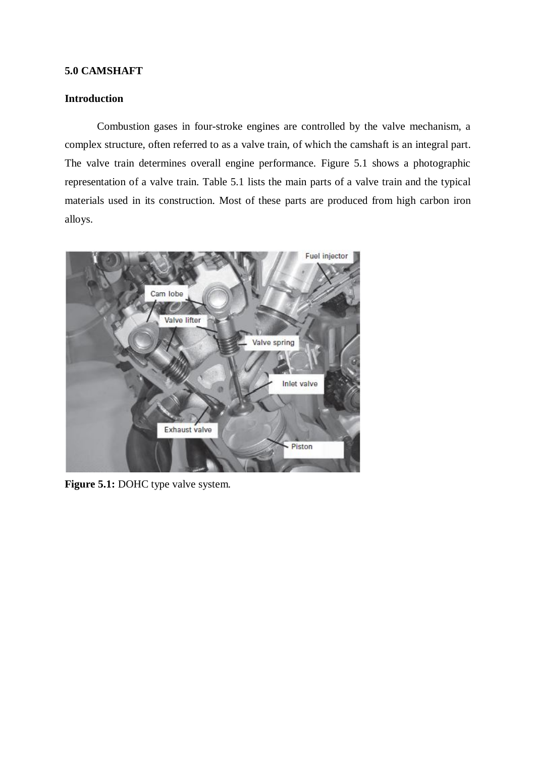# **5.0 CAMSHAFT**

### **Introduction**

Combustion gases in four-stroke engines are controlled by the valve mechanism, a complex structure, often referred to as a valve train, of which the camshaft is an integral part. The valve train determines overall engine performance. Figure 5.1 shows a photographic representation of a valve train. Table 5.1 lists the main parts of a valve train and the typical materials used in its construction. Most of these parts are produced from high carbon iron alloys.



**Figure 5.1:** DOHC type valve system.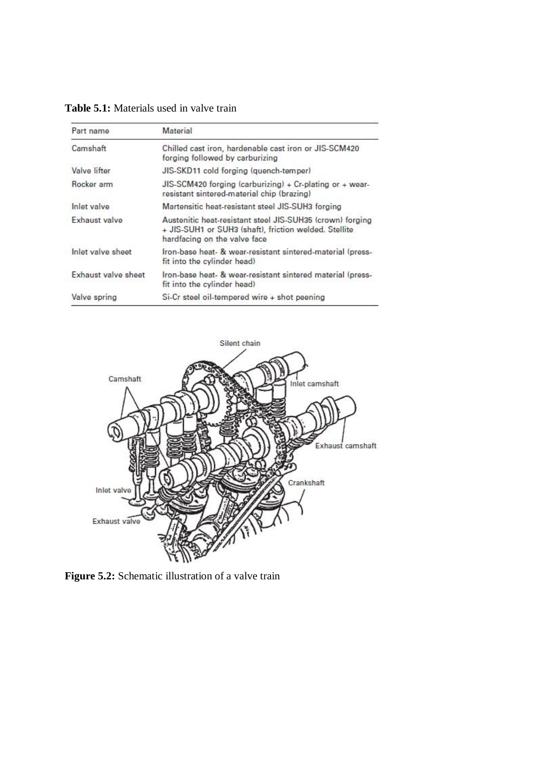| Part name           | Material                                                                                                                                           |  |  |  |  |  |  |
|---------------------|----------------------------------------------------------------------------------------------------------------------------------------------------|--|--|--|--|--|--|
| Camshaft            | Chilled cast iron, hardenable cast iron or JIS-SCM420<br>forging followed by carburizing                                                           |  |  |  |  |  |  |
| Valve lifter        | JIS-SKD11 cold forging (quench-temper)                                                                                                             |  |  |  |  |  |  |
| Rocker arm          | $JIS-SCM420$ forging (carburizing) + Cr-plating or + wear-<br>resistant sintered-material chip (brazing)                                           |  |  |  |  |  |  |
| Inlet valve         | Martensitic heat-resistant steel JIS-SUH3 forging                                                                                                  |  |  |  |  |  |  |
| Exhaust valve       | Austenitic heat-resistant steel JIS-SUH35 (crown) forging<br>+ JIS-SUH1 or SUH3 (shaft), friction welded, Stellite<br>hardfacing on the valve face |  |  |  |  |  |  |
| Inlet valve sheet   | Iron-base heat- & wear-resistant sintered-material (press-<br>fit into the cylinder head)                                                          |  |  |  |  |  |  |
| Exhaust valve sheet | Iron-base heat- & wear-resistant sintered material (press-<br>fit into the cylinder head)                                                          |  |  |  |  |  |  |
| Valve spring        | Si-Cr steel oil-tempered wire + shot peening                                                                                                       |  |  |  |  |  |  |

**Table 5.1:** Materials used in valve train



Figure 5.2: Schematic illustration of a valve train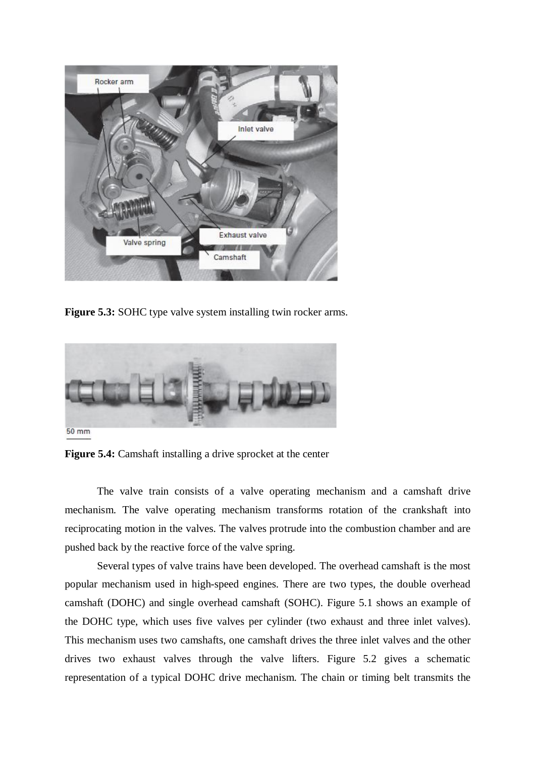

**Figure 5.3:** SOHC type valve system installing twin rocker arms.



**Figure 5.4:** Camshaft installing a drive sprocket at the center

The valve train consists of a valve operating mechanism and a camshaft drive mechanism. The valve operating mechanism transforms rotation of the crankshaft into reciprocating motion in the valves. The valves protrude into the combustion chamber and are pushed back by the reactive force of the valve spring.

Several types of valve trains have been developed. The overhead camshaft is the most popular mechanism used in high-speed engines. There are two types, the double overhead camshaft (DOHC) and single overhead camshaft (SOHC). Figure 5.1 shows an example of the DOHC type, which uses five valves per cylinder (two exhaust and three inlet valves). This mechanism uses two camshafts, one camshaft drives the three inlet valves and the other drives two exhaust valves through the valve lifters. Figure 5.2 gives a schematic representation of a typical DOHC drive mechanism. The chain or timing belt transmits the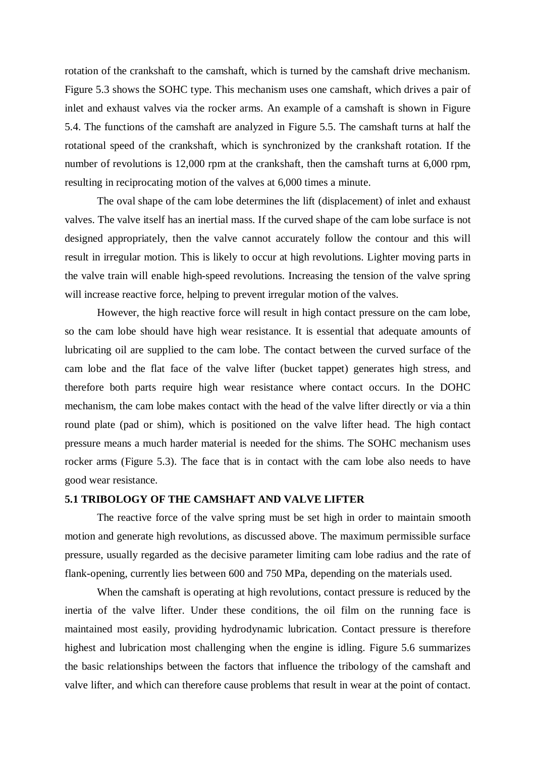rotation of the crankshaft to the camshaft, which is turned by the camshaft drive mechanism. Figure 5.3 shows the SOHC type. This mechanism uses one camshaft, which drives a pair of inlet and exhaust valves via the rocker arms. An example of a camshaft is shown in Figure 5.4. The functions of the camshaft are analyzed in Figure 5.5. The camshaft turns at half the rotational speed of the crankshaft, which is synchronized by the crankshaft rotation. If the number of revolutions is 12,000 rpm at the crankshaft, then the camshaft turns at 6,000 rpm, resulting in reciprocating motion of the valves at 6,000 times a minute.

The oval shape of the cam lobe determines the lift (displacement) of inlet and exhaust valves. The valve itself has an inertial mass. If the curved shape of the cam lobe surface is not designed appropriately, then the valve cannot accurately follow the contour and this will result in irregular motion. This is likely to occur at high revolutions. Lighter moving parts in the valve train will enable high-speed revolutions. Increasing the tension of the valve spring will increase reactive force, helping to prevent irregular motion of the valves.

However, the high reactive force will result in high contact pressure on the cam lobe, so the cam lobe should have high wear resistance. It is essential that adequate amounts of lubricating oil are supplied to the cam lobe. The contact between the curved surface of the cam lobe and the flat face of the valve lifter (bucket tappet) generates high stress, and therefore both parts require high wear resistance where contact occurs. In the DOHC mechanism, the cam lobe makes contact with the head of the valve lifter directly or via a thin round plate (pad or shim), which is positioned on the valve lifter head. The high contact pressure means a much harder material is needed for the shims. The SOHC mechanism uses rocker arms (Figure 5.3). The face that is in contact with the cam lobe also needs to have good wear resistance.

## **5.1 TRIBOLOGY OF THE CAMSHAFT AND VALVE LIFTER**

The reactive force of the valve spring must be set high in order to maintain smooth motion and generate high revolutions, as discussed above. The maximum permissible surface pressure, usually regarded as the decisive parameter limiting cam lobe radius and the rate of flank-opening, currently lies between 600 and 750 MPa, depending on the materials used.

When the camshaft is operating at high revolutions, contact pressure is reduced by the inertia of the valve lifter. Under these conditions, the oil film on the running face is maintained most easily, providing hydrodynamic lubrication. Contact pressure is therefore highest and lubrication most challenging when the engine is idling. Figure 5.6 summarizes the basic relationships between the factors that influence the tribology of the camshaft and valve lifter, and which can therefore cause problems that result in wear at the point of contact.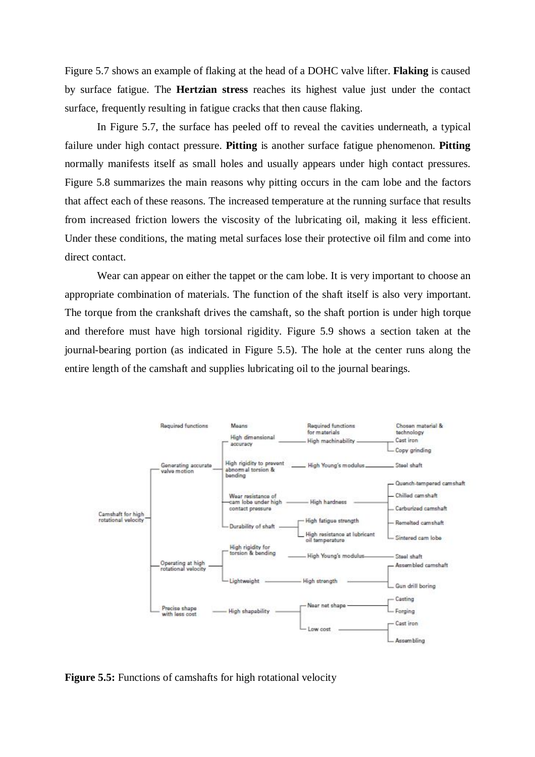Figure 5.7 shows an example of flaking at the head of a DOHC valve lifter. **Flaking** is caused by surface fatigue. The **Hertzian stress** reaches its highest value just under the contact surface, frequently resulting in fatigue cracks that then cause flaking.

In Figure 5.7, the surface has peeled off to reveal the cavities underneath, a typical failure under high contact pressure. **Pitting** is another surface fatigue phenomenon. **Pitting** normally manifests itself as small holes and usually appears under high contact pressures. Figure 5.8 summarizes the main reasons why pitting occurs in the cam lobe and the factors that affect each of these reasons. The increased temperature at the running surface that results from increased friction lowers the viscosity of the lubricating oil, making it less efficient. Under these conditions, the mating metal surfaces lose their protective oil film and come into direct contact.

Wear can appear on either the tappet or the cam lobe. It is very important to choose an appropriate combination of materials. The function of the shaft itself is also very important. The torque from the crankshaft drives the camshaft, so the shaft portion is under high torque and therefore must have high torsional rigidity. Figure 5.9 shows a section taken at the journal-bearing portion (as indicated in Figure 5.5). The hole at the center runs along the entire length of the camshaft and supplies lubricating oil to the journal bearings.



**Figure 5.5:** Functions of camshafts for high rotational velocity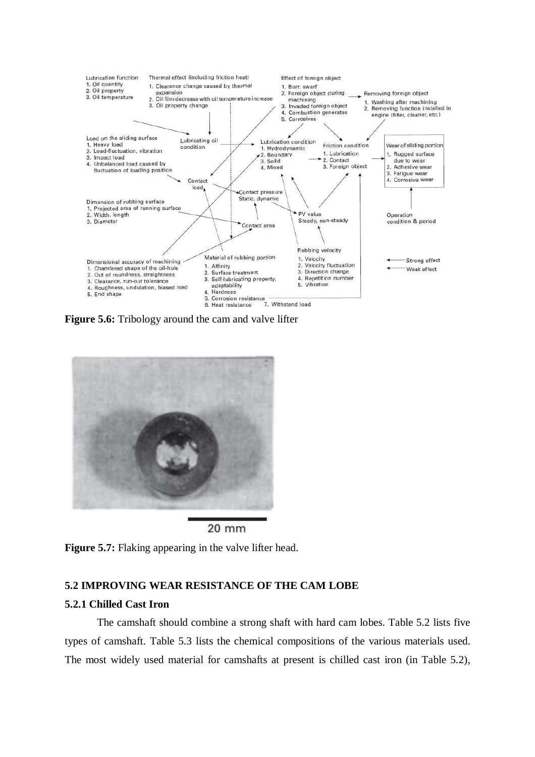

**Figure 5.6:** Tribology around the cam and valve lifter



 $20$  mm

**Figure 5.7:** Flaking appearing in the valve lifter head.

# **5.2 IMPROVING WEAR RESISTANCE OF THE CAM LOBE**

# **5.2.1 Chilled Cast Iron**

The camshaft should combine a strong shaft with hard cam lobes. Table 5.2 lists five types of camshaft. Table 5.3 lists the chemical compositions of the various materials used. The most widely used material for camshafts at present is chilled cast iron (in Table 5.2),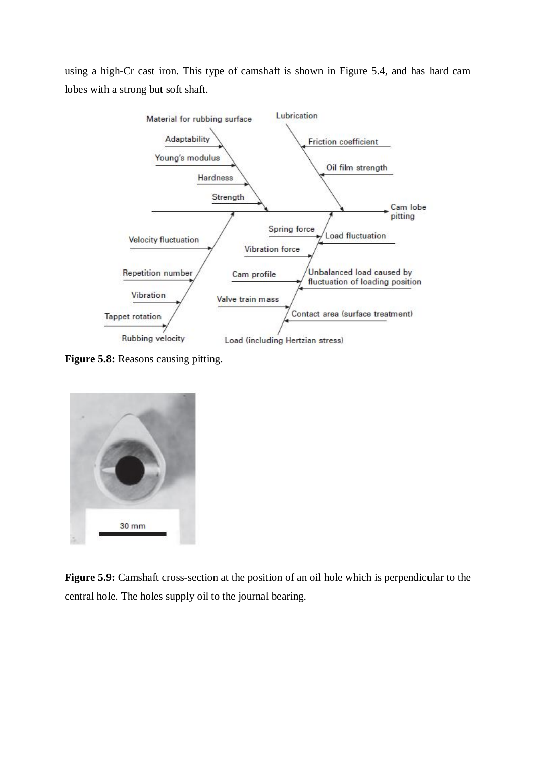using a high-Cr cast iron. This type of camshaft is shown in Figure 5.4, and has hard cam lobes with a strong but soft shaft.



**Figure 5.8:** Reasons causing pitting.



**Figure 5.9:** Camshaft cross-section at the position of an oil hole which is perpendicular to the central hole. The holes supply oil to the journal bearing.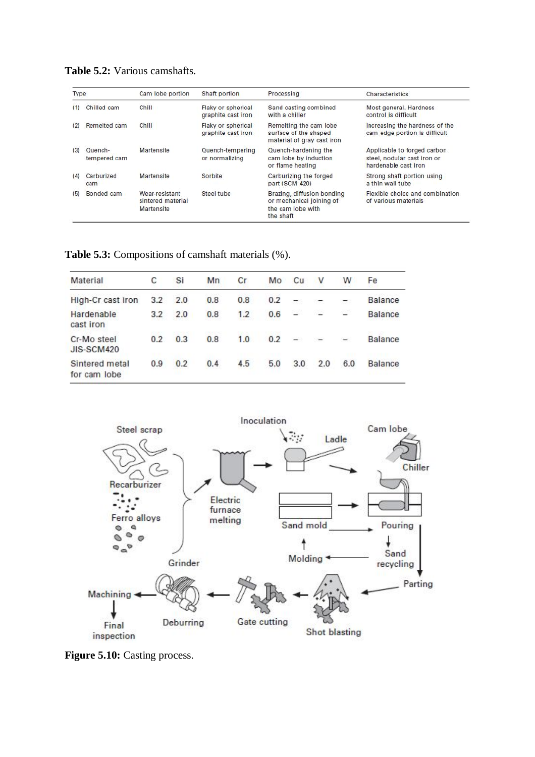| Type |                         | Cam lobe portion                                  | Shaft portion                            | Processing                                                                               | Characteristics                                                                    |  |  |
|------|-------------------------|---------------------------------------------------|------------------------------------------|------------------------------------------------------------------------------------------|------------------------------------------------------------------------------------|--|--|
| (1)  | Chilled cam             | Chill                                             | Flaky or spherical<br>graphite cast iron | Sand casting combined<br>with a chiller                                                  | Most general. Hardness<br>control is difficult                                     |  |  |
| (2)  | Remelted cam            | Chill                                             | Flaky or spherical<br>graphite cast iron | Remelting the cam lobe<br>surface of the shaped<br>material of gray cast iron            | Increasing the hardness of the<br>cam edge portion is difficult                    |  |  |
| (3)  | Quench-<br>tempered cam | Martensite                                        | Quench-tempering<br>or normalizing       | Quench-hardening the<br>cam lobe by induction<br>or flame heating                        | Applicable to forged carbon<br>steel, nodular cast iron or<br>hardenable cast iron |  |  |
| (4)  | Carburized<br>cam       | Martensite                                        | Sorbite                                  | Carburizing the forged<br>part (SCM 420)                                                 | Strong shaft portion using<br>a thin wall tube                                     |  |  |
| (5)  | Bonded cam              | Wear-resistant<br>sintered material<br>Martensite | Steel tube                               | Brazing, diffusion bonding<br>or mechanical joining of<br>the cam lobe with<br>the shaft | Flexible choice and combination<br>of various materials                            |  |  |

**Table 5.2:** Various camshafts.

**Table 5.3:** Compositions of camshaft materials (%).

| Material                         | С   | Si  | Mn  | Cr  | Mo  | <b>Cu</b> | v   | w   | Fe             |
|----------------------------------|-----|-----|-----|-----|-----|-----------|-----|-----|----------------|
| High-Cr cast iron                | 3.2 | 2.0 | 0.8 | 0.8 | 0.2 |           |     |     | Balance        |
| Hardenable<br>cast iron          | 3.2 | 2.0 | 0.8 | 1.2 | 0.6 | 분위        |     | 잡   | <b>Balance</b> |
| Cr-Mo steel<br><b>JIS-SCM420</b> | 0.2 | 0.3 | 0.8 | 1.0 | 0.2 |           |     |     | <b>Balance</b> |
| Sintered metal<br>for cam lobe   | 0.9 | 0.2 | 0.4 | 4.5 | 5.0 | 3.0       | 2.0 | 6.0 | Balance        |



Figure 5.10: Casting process.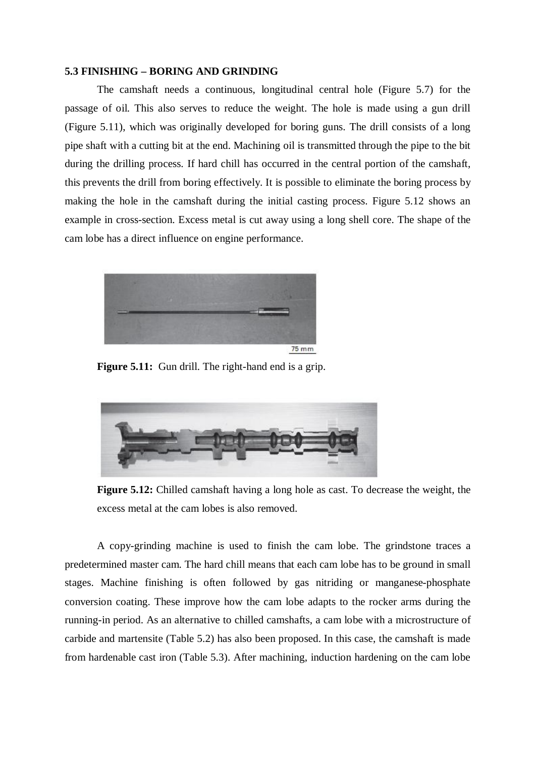#### **5.3 FINISHING – BORING AND GRINDING**

The camshaft needs a continuous, longitudinal central hole (Figure 5.7) for the passage of oil. This also serves to reduce the weight. The hole is made using a gun drill (Figure 5.11), which was originally developed for boring guns. The drill consists of a long pipe shaft with a cutting bit at the end. Machining oil is transmitted through the pipe to the bit during the drilling process. If hard chill has occurred in the central portion of the camshaft, this prevents the drill from boring effectively. It is possible to eliminate the boring process by making the hole in the camshaft during the initial casting process. Figure 5.12 shows an example in cross-section. Excess metal is cut away using a long shell core. The shape of the cam lobe has a direct influence on engine performance.



 $75 \text{ mm}$ 

Figure 5.11: Gun drill. The right-hand end is a grip.



**Figure 5.12:** Chilled camshaft having a long hole as cast. To decrease the weight, the excess metal at the cam lobes is also removed.

A copy-grinding machine is used to finish the cam lobe. The grindstone traces a predetermined master cam. The hard chill means that each cam lobe has to be ground in small stages. Machine finishing is often followed by gas nitriding or manganese-phosphate conversion coating. These improve how the cam lobe adapts to the rocker arms during the running-in period. As an alternative to chilled camshafts, a cam lobe with a microstructure of carbide and martensite (Table 5.2) has also been proposed. In this case, the camshaft is made from hardenable cast iron (Table 5.3). After machining, induction hardening on the cam lobe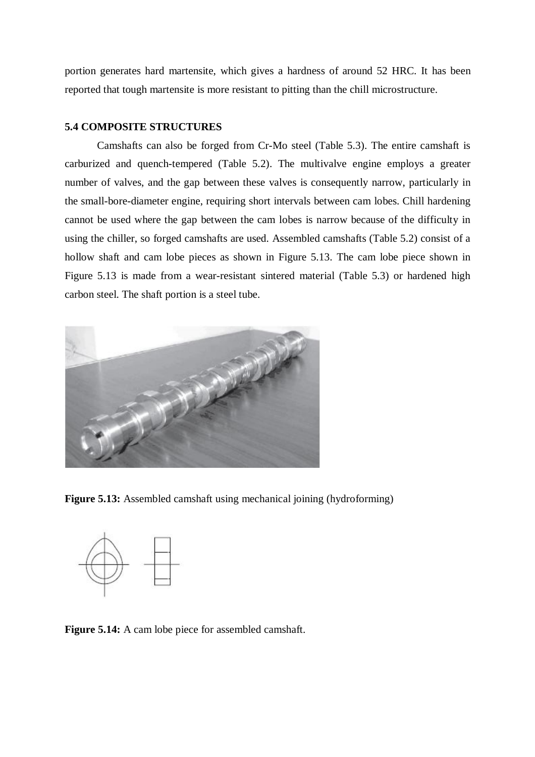portion generates hard martensite, which gives a hardness of around 52 HRC. It has been reported that tough martensite is more resistant to pitting than the chill microstructure.

# **5.4 COMPOSITE STRUCTURES**

Camshafts can also be forged from Cr-Mo steel (Table 5.3). The entire camshaft is carburized and quench-tempered (Table 5.2). The multivalve engine employs a greater number of valves, and the gap between these valves is consequently narrow, particularly in the small-bore-diameter engine, requiring short intervals between cam lobes. Chill hardening cannot be used where the gap between the cam lobes is narrow because of the difficulty in using the chiller, so forged camshafts are used. Assembled camshafts (Table 5.2) consist of a hollow shaft and cam lobe pieces as shown in Figure 5.13. The cam lobe piece shown in Figure 5.13 is made from a wear-resistant sintered material (Table 5.3) or hardened high carbon steel. The shaft portion is a steel tube.



**Figure 5.13:** Assembled camshaft using mechanical joining (hydroforming)



**Figure 5.14:** A cam lobe piece for assembled camshaft.